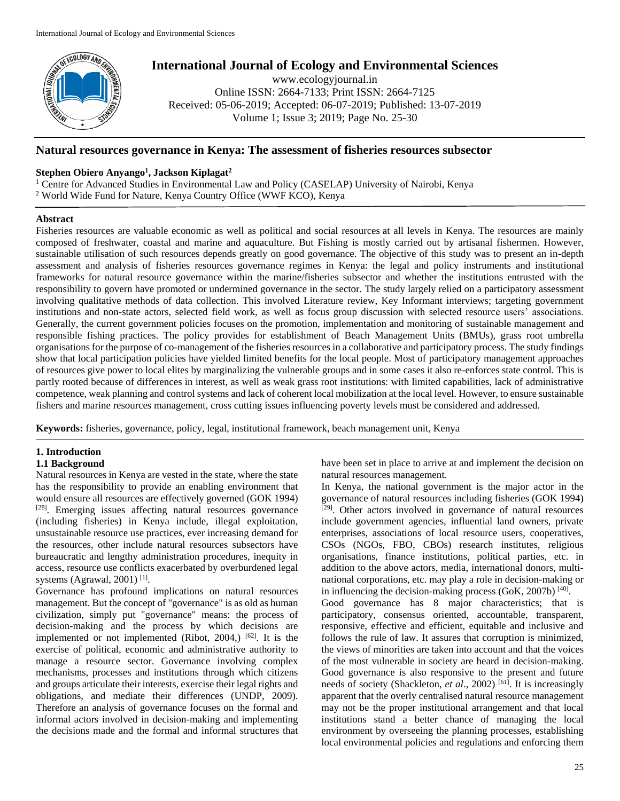

# **International Journal of Ecology and Environmental Sciences**

www.ecologyjournal.in Online ISSN: 2664-7133; Print ISSN: 2664-7125 Received: 05-06-2019; Accepted: 06-07-2019; Published: 13-07-2019 Volume 1; Issue 3; 2019; Page No. 25-30

## **Natural resources governance in Kenya: The assessment of fisheries resources subsector**

## **Stephen Obiero Anyango<sup>1</sup> , Jackson Kiplagat<sup>2</sup>**

<sup>1</sup> Centre for Advanced Studies in Environmental Law and Policy (CASELAP) University of Nairobi, Kenya <sup>2</sup> World Wide Fund for Nature, Kenya Country Office (WWF KCO), Kenya

### **Abstract**

Fisheries resources are valuable economic as well as political and social resources at all levels in Kenya. The resources are mainly composed of freshwater, coastal and marine and aquaculture. But Fishing is mostly carried out by artisanal fishermen. However, sustainable utilisation of such resources depends greatly on good governance. The objective of this study was to present an in-depth assessment and analysis of fisheries resources governance regimes in Kenya: the legal and policy instruments and institutional frameworks for natural resource governance within the marine/fisheries subsector and whether the institutions entrusted with the responsibility to govern have promoted or undermined governance in the sector. The study largely relied on a participatory assessment involving qualitative methods of data collection. This involved Literature review, Key Informant interviews; targeting government institutions and non-state actors, selected field work, as well as focus group discussion with selected resource users' associations. Generally, the current government policies focuses on the promotion, implementation and monitoring of sustainable management and responsible fishing practices. The policy provides for establishment of Beach Management Units (BMUs), grass root umbrella organisations for the purpose of co-management of the fisheries resources in a collaborative and participatory process. The study findings show that local participation policies have yielded limited benefits for the local people. Most of participatory management approaches of resources give power to local elites by marginalizing the vulnerable groups and in some cases it also re-enforces state control. This is partly rooted because of differences in interest, as well as weak grass root institutions: with limited capabilities, lack of administrative competence, weak planning and control systems and lack of coherent local mobilization at the local level. However, to ensure sustainable fishers and marine resources management, cross cutting issues influencing poverty levels must be considered and addressed.

**Keywords:** fisheries, governance, policy, legal, institutional framework, beach management unit, Kenya

# **1. Introduction**

### **1.1 Background**

Natural resources in Kenya are vested in the state, where the state has the responsibility to provide an enabling environment that would ensure all resources are effectively governed (GOK 1994) [28]. Emerging issues affecting natural resources governance (including fisheries) in Kenya include, illegal exploitation, unsustainable resource use practices, ever increasing demand for the resources, other include natural resources subsectors have bureaucratic and lengthy administration procedures, inequity in access, resource use conflicts exacerbated by overburdened legal systems (Agrawal, 2001)<sup>[1]</sup>.

Governance has profound implications on natural resources management. But the concept of "governance" is as old as human civilization, simply put "governance" means: the process of decision-making and the process by which decisions are implemented or not implemented (Ribot, 2004,)  $[62]$ . It is the exercise of political, economic and administrative authority to manage a resource sector. Governance involving complex mechanisms, processes and institutions through which citizens and groups articulate their interests, exercise their legal rights and obligations, and mediate their differences (UNDP, 2009). Therefore an analysis of governance focuses on the formal and informal actors involved in decision-making and implementing the decisions made and the formal and informal structures that

have been set in place to arrive at and implement the decision on natural resources management.

In Kenya, the national government is the major actor in the governance of natural resources including fisheries (GOK 1994)  $[29]$ . Other actors involved in governance of natural resources include government agencies, influential land owners, private enterprises, associations of local resource users, cooperatives, CSOs (NGOs, FBO, CBOs) research institutes, religious organisations, finance institutions, political parties, etc. in addition to the above actors, media, international donors, multinational corporations, etc. may play a role in decision-making or in influencing the decision-making process  $(GoK, 2007b)$ <sup>[40]</sup>. Good governance has 8 major characteristics; that is participatory, consensus oriented, accountable, transparent, responsive, effective and efficient, equitable and inclusive and follows the rule of law. It assures that corruption is minimized, the views of minorities are taken into account and that the voices of the most vulnerable in society are heard in decision-making. Good governance is also responsive to the present and future needs of society (Shackleton, *et al.*, 2002)<sup>[61]</sup>. It is increasingly apparent that the overly centralised natural resource management may not be the proper institutional arrangement and that local institutions stand a better chance of managing the local environment by overseeing the planning processes, establishing local environmental policies and regulations and enforcing them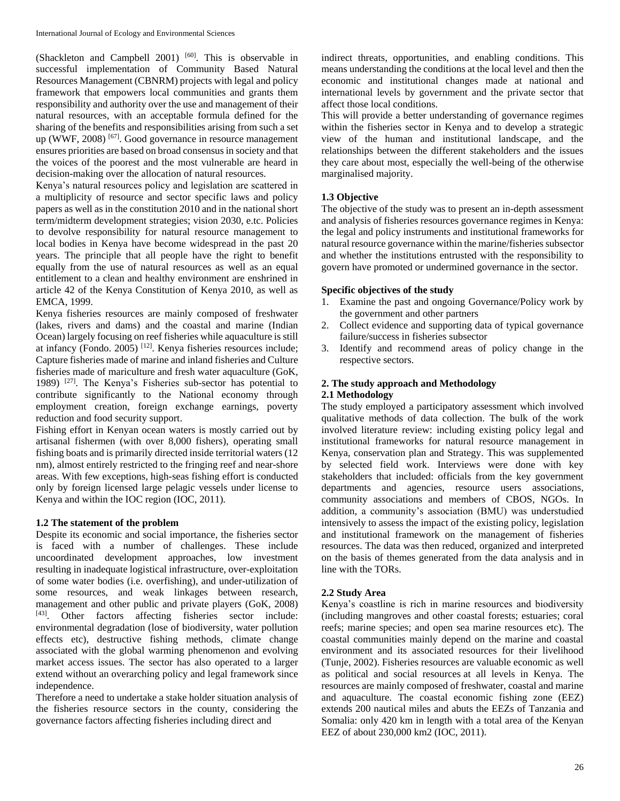(Shackleton and Campbell 2001) [60]. This is observable in successful implementation of Community Based Natural Resources Management (CBNRM) projects with legal and policy framework that empowers local communities and grants them responsibility and authority over the use and management of their natural resources, with an acceptable formula defined for the sharing of the benefits and responsibilities arising from such a set up (WWF, 2008) <sup>[67]</sup>. Good governance in resource management ensures priorities are based on broad consensus in society and that the voices of the poorest and the most vulnerable are heard in decision-making over the allocation of natural resources.

Kenya's natural resources policy and legislation are scattered in a multiplicity of resource and sector specific laws and policy papers as well as in the constitution 2010 and in the national short term/midterm development strategies; vision 2030, e.tc. Policies to devolve responsibility for natural resource management to local bodies in Kenya have become widespread in the past 20 years. The principle that all people have the right to benefit equally from the use of natural resources as well as an equal entitlement to a clean and healthy environment are enshrined in article 42 of the Kenya Constitution of Kenya 2010, as well as EMCA, 1999.

Kenya fisheries resources are mainly composed of freshwater (lakes, rivers and dams) and the coastal and marine (Indian Ocean) largely focusing on reef fisheries while aquaculture is still at infancy (Fondo. 2005) [12]. Kenya fisheries resources include; Capture fisheries made of marine and inland fisheries and Culture fisheries made of mariculture and fresh water aquaculture (GoK, 1989) [27] . The Kenya's Fisheries sub-sector has potential to contribute significantly to the National economy through employment creation, foreign exchange earnings, poverty reduction and food security support.

Fishing effort in Kenyan ocean waters is mostly carried out by artisanal fishermen (with over 8,000 fishers), operating small fishing boats and is primarily directed inside territorial waters (12 nm), almost entirely restricted to the fringing reef and near-shore areas. With few exceptions, high-seas fishing effort is conducted only by foreign licensed large pelagic vessels under license to Kenya and within the IOC region (IOC, 2011).

### **1.2 The statement of the problem**

Despite its economic and social importance, the fisheries sector is faced with a number of challenges. These include uncoordinated development approaches, low investment resulting in inadequate logistical infrastructure, over-exploitation of some water bodies (i.e. overfishing), and under-utilization of some resources, and weak linkages between research, management and other public and private players (GoK, 2008) [43]. Other factors affecting fisheries sector include: environmental degradation (lose of biodiversity, water pollution effects etc), destructive fishing methods, climate change associated with the global warming phenomenon and evolving market access issues. The sector has also operated to a larger extend without an overarching policy and legal framework since independence.

Therefore a need to undertake a stake holder situation analysis of the fisheries resource sectors in the county, considering the governance factors affecting fisheries including direct and

indirect threats, opportunities, and enabling conditions. This means understanding the conditions at the local level and then the economic and institutional changes made at national and international levels by government and the private sector that affect those local conditions.

This will provide a better understanding of governance regimes within the fisheries sector in Kenya and to develop a strategic view of the human and institutional landscape, and the relationships between the different stakeholders and the issues they care about most, especially the well-being of the otherwise marginalised majority.

# **1.3 Objective**

The objective of the study was to present an in-depth assessment and analysis of fisheries resources governance regimes in Kenya: the legal and policy instruments and institutional frameworks for natural resource governance within the marine/fisheries subsector and whether the institutions entrusted with the responsibility to govern have promoted or undermined governance in the sector.

# **Specific objectives of the study**

- 1. Examine the past and ongoing Governance/Policy work by the government and other partners
- 2. Collect evidence and supporting data of typical governance failure/success in fisheries subsector
- 3. Identify and recommend areas of policy change in the respective sectors.

# **2. The study approach and Methodology**

#### **2.1 Methodology**

The study employed a participatory assessment which involved qualitative methods of data collection. The bulk of the work involved literature review: including existing policy legal and institutional frameworks for natural resource management in Kenya, conservation plan and Strategy. This was supplemented by selected field work. Interviews were done with key stakeholders that included: officials from the key government departments and agencies, resource users associations, community associations and members of CBOS, NGOs. In addition, a community's association (BMU) was understudied intensively to assess the impact of the existing policy, legislation and institutional framework on the management of fisheries resources. The data was then reduced, organized and interpreted on the basis of themes generated from the data analysis and in line with the TORs.

#### **2.2 Study Area**

Kenya's coastline is rich in marine resources and biodiversity (including mangroves and other coastal forests; estuaries; coral reefs; marine species; and open sea marine resources etc). The coastal communities mainly depend on the marine and coastal environment and its associated resources for their livelihood (Tunje, 2002). Fisheries resources are valuable economic as well as political and social resources at all levels in Kenya. The resources are mainly composed of freshwater, coastal and marine and aquaculture. The coastal economic fishing zone (EEZ) extends 200 nautical miles and abuts the EEZs of Tanzania and Somalia: only 420 km in length with a total area of the Kenyan EEZ of about 230,000 km2 (IOC, 2011).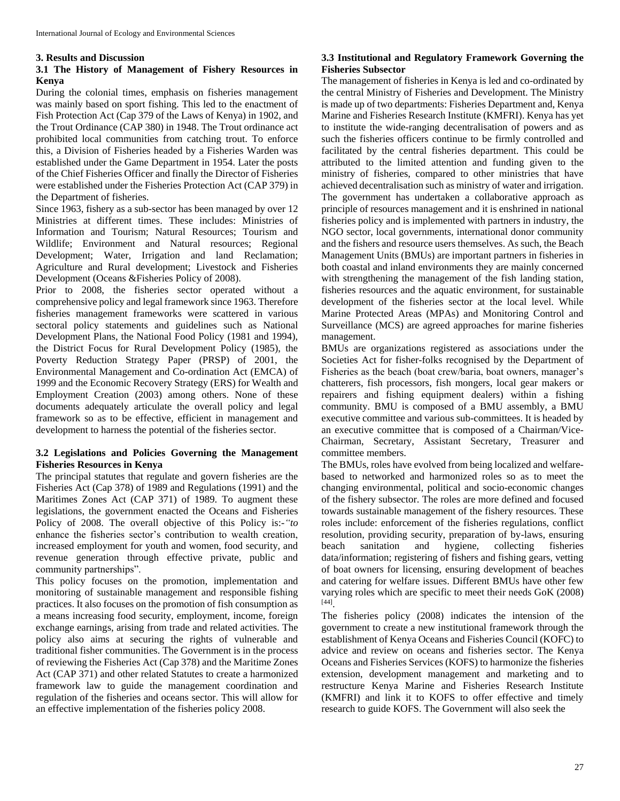#### **3. Results and Discussion**

# **3.1 The History of Management of Fishery Resources in Kenya**

During the colonial times, emphasis on fisheries management was mainly based on sport fishing. This led to the enactment of Fish Protection Act (Cap 379 of the Laws of Kenya) in 1902, and the Trout Ordinance (CAP 380) in 1948. The Trout ordinance act prohibited local communities from catching trout. To enforce this, a Division of Fisheries headed by a Fisheries Warden was established under the Game Department in 1954. Later the posts of the Chief Fisheries Officer and finally the Director of Fisheries were established under the Fisheries Protection Act (CAP 379) in the Department of fisheries.

Since 1963, fishery as a sub-sector has been managed by over 12 Ministries at different times. These includes: Ministries of Information and Tourism; Natural Resources; Tourism and Wildlife; Environment and Natural resources; Regional Development; Water, Irrigation and land Reclamation; Agriculture and Rural development; Livestock and Fisheries Development (Oceans &Fisheries Policy of 2008).

Prior to 2008, the fisheries sector operated without a comprehensive policy and legal framework since 1963. Therefore fisheries management frameworks were scattered in various sectoral policy statements and guidelines such as National Development Plans, the National Food Policy (1981 and 1994), the District Focus for Rural Development Policy (1985), the Poverty Reduction Strategy Paper (PRSP) of 2001, the Environmental Management and Co-ordination Act (EMCA) of 1999 and the Economic Recovery Strategy (ERS) for Wealth and Employment Creation (2003) among others. None of these documents adequately articulate the overall policy and legal framework so as to be effective, efficient in management and development to harness the potential of the fisheries sector.

# **3.2 Legislations and Policies Governing the Management Fisheries Resources in Kenya**

The principal statutes that regulate and govern fisheries are the Fisheries Act (Cap 378) of 1989 and Regulations (1991) and the Maritimes Zones Act (CAP 371) of 1989. To augment these legislations, the government enacted the Oceans and Fisheries Policy of 2008. The overall objective of this Policy is:-*"to*  enhance the fisheries sector's contribution to wealth creation, increased employment for youth and women, food security, and revenue generation through effective private, public and community partnerships".

This policy focuses on the promotion, implementation and monitoring of sustainable management and responsible fishing practices. It also focuses on the promotion of fish consumption as a means increasing food security, employment, income, foreign exchange earnings, arising from trade and related activities. The policy also aims at securing the rights of vulnerable and traditional fisher communities. The Government is in the process of reviewing the Fisheries Act (Cap 378) and the Maritime Zones Act (CAP 371) and other related Statutes to create a harmonized framework law to guide the management coordination and regulation of the fisheries and oceans sector. This will allow for an effective implementation of the fisheries policy 2008.

# **3.3 Institutional and Regulatory Framework Governing the Fisheries Subsector**

The management of fisheries in Kenya is led and co-ordinated by the central Ministry of Fisheries and Development. The Ministry is made up of two departments: Fisheries Department and, Kenya Marine and Fisheries Research Institute (KMFRI). Kenya has yet to institute the wide-ranging decentralisation of powers and as such the fisheries officers continue to be firmly controlled and facilitated by the central fisheries department. This could be attributed to the limited attention and funding given to the ministry of fisheries, compared to other ministries that have achieved decentralisation such as ministry of water and irrigation. The government has undertaken a collaborative approach as principle of resources management and it is enshrined in national fisheries policy and is implemented with partners in industry, the NGO sector, local governments, international donor community and the fishers and resource users themselves. As such, the Beach Management Units (BMUs) are important partners in fisheries in both coastal and inland environments they are mainly concerned with strengthening the management of the fish landing station, fisheries resources and the aquatic environment, for sustainable development of the fisheries sector at the local level. While Marine Protected Areas (MPAs) and Monitoring Control and Surveillance (MCS) are agreed approaches for marine fisheries management.

BMUs are organizations registered as associations under the Societies Act for fisher-folks recognised by the Department of Fisheries as the beach (boat crew/baria, boat owners, manager's chatterers, fish processors, fish mongers, local gear makers or repairers and fishing equipment dealers) within a fishing community. BMU is composed of a BMU assembly, a BMU executive committee and various sub-committees. It is headed by an executive committee that is composed of a Chairman/Vice-Chairman, Secretary, Assistant Secretary, Treasurer and committee members.

The BMUs, roles have evolved from being localized and welfarebased to networked and harmonized roles so as to meet the changing environmental, political and socio-economic changes of the fishery subsector. The roles are more defined and focused towards sustainable management of the fishery resources. These roles include: enforcement of the fisheries regulations, conflict resolution, providing security, preparation of by-laws, ensuring beach sanitation and hygiene, collecting fisheries data/information; registering of fishers and fishing gears, vetting of boat owners for licensing, ensuring development of beaches and catering for welfare issues. Different BMUs have other few varying roles which are specific to meet their needs GoK (2008) [44] .

The fisheries policy (2008) indicates the intension of the government to create a new institutional framework through the establishment of Kenya Oceans and Fisheries Council (KOFC) to advice and review on oceans and fisheries sector. The Kenya Oceans and Fisheries Services (KOFS) to harmonize the fisheries extension, development management and marketing and to restructure Kenya Marine and Fisheries Research Institute (KMFRI) and link it to KOFS to offer effective and timely research to guide KOFS. The Government will also seek the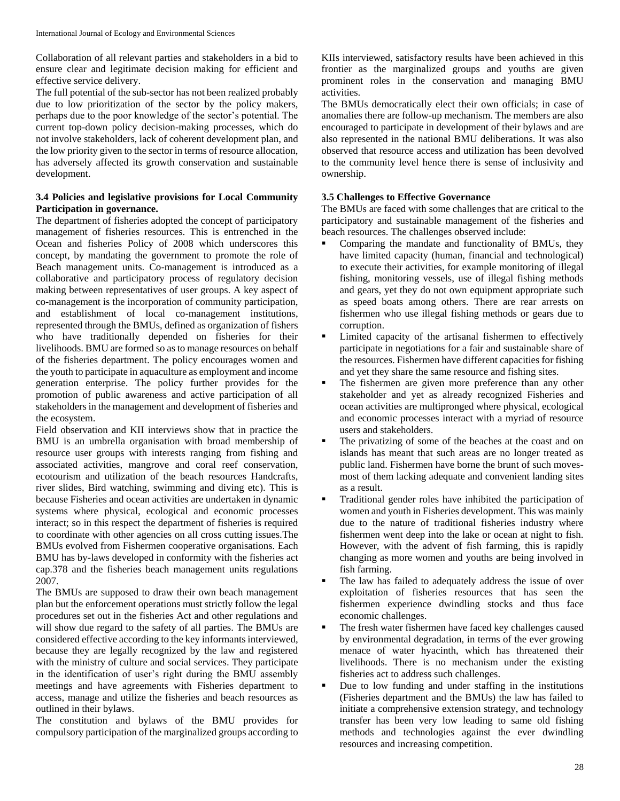Collaboration of all relevant parties and stakeholders in a bid to ensure clear and legitimate decision making for efficient and effective service delivery.

The full potential of the sub-sector has not been realized probably due to low prioritization of the sector by the policy makers, perhaps due to the poor knowledge of the sector's potential. The current top-down policy decision-making processes, which do not involve stakeholders, lack of coherent development plan, and the low priority given to the sector in terms of resource allocation, has adversely affected its growth conservation and sustainable development.

# **3.4 Policies and legislative provisions for Local Community Participation in governance.**

The department of fisheries adopted the concept of participatory management of fisheries resources. This is entrenched in the Ocean and fisheries Policy of 2008 which underscores this concept, by mandating the government to promote the role of Beach management units. Co-management is introduced as a collaborative and participatory process of regulatory decision making between representatives of user groups. A key aspect of co-management is the incorporation of community participation, and establishment of local co-management institutions, represented through the BMUs, defined as organization of fishers who have traditionally depended on fisheries for their livelihoods. BMU are formed so as to manage resources on behalf of the fisheries department. The policy encourages women and the youth to participate in aquaculture as employment and income generation enterprise. The policy further provides for the promotion of public awareness and active participation of all stakeholders in the management and development of fisheries and the ecosystem.

Field observation and KII interviews show that in practice the BMU is an umbrella organisation with broad membership of resource user groups with interests ranging from fishing and associated activities, mangrove and coral reef conservation, ecotourism and utilization of the beach resources Handcrafts, river slides, Bird watching, swimming and diving etc). This is because Fisheries and ocean activities are undertaken in dynamic systems where physical, ecological and economic processes interact; so in this respect the department of fisheries is required to coordinate with other agencies on all cross cutting issues.The BMUs evolved from Fishermen cooperative organisations. Each BMU has by-laws developed in conformity with the fisheries act cap.378 and the fisheries beach management units regulations 2007.

The BMUs are supposed to draw their own beach management plan but the enforcement operations must strictly follow the legal procedures set out in the fisheries Act and other regulations and will show due regard to the safety of all parties. The BMUs are considered effective according to the key informants interviewed, because they are legally recognized by the law and registered with the ministry of culture and social services. They participate in the identification of user's right during the BMU assembly meetings and have agreements with Fisheries department to access, manage and utilize the fisheries and beach resources as outlined in their bylaws.

The constitution and bylaws of the BMU provides for compulsory participation of the marginalized groups according to

KIIs interviewed, satisfactory results have been achieved in this frontier as the marginalized groups and youths are given prominent roles in the conservation and managing BMU activities.

The BMUs democratically elect their own officials; in case of anomalies there are follow-up mechanism. The members are also encouraged to participate in development of their bylaws and are also represented in the national BMU deliberations. It was also observed that resource access and utilization has been devolved to the community level hence there is sense of inclusivity and ownership.

# **3.5 Challenges to Effective Governance**

The BMUs are faced with some challenges that are critical to the participatory and sustainable management of the fisheries and beach resources. The challenges observed include:

- Comparing the mandate and functionality of BMUs, they have limited capacity (human, financial and technological) to execute their activities, for example monitoring of illegal fishing, monitoring vessels, use of illegal fishing methods and gears, yet they do not own equipment appropriate such as speed boats among others. There are rear arrests on fishermen who use illegal fishing methods or gears due to corruption.
- Limited capacity of the artisanal fishermen to effectively participate in negotiations for a fair and sustainable share of the resources. Fishermen have different capacities for fishing and yet they share the same resource and fishing sites.
- The fishermen are given more preference than any other stakeholder and yet as already recognized Fisheries and ocean activities are multipronged where physical, ecological and economic processes interact with a myriad of resource users and stakeholders.
- The privatizing of some of the beaches at the coast and on islands has meant that such areas are no longer treated as public land. Fishermen have borne the brunt of such movesmost of them lacking adequate and convenient landing sites as a result.
- Traditional gender roles have inhibited the participation of women and youth in Fisheries development. This was mainly due to the nature of traditional fisheries industry where fishermen went deep into the lake or ocean at night to fish. However, with the advent of fish farming, this is rapidly changing as more women and youths are being involved in fish farming.
- The law has failed to adequately address the issue of over exploitation of fisheries resources that has seen the fishermen experience dwindling stocks and thus face economic challenges.
- The fresh water fishermen have faced key challenges caused by environmental degradation, in terms of the ever growing menace of water hyacinth, which has threatened their livelihoods. There is no mechanism under the existing fisheries act to address such challenges.
- Due to low funding and under staffing in the institutions (Fisheries department and the BMUs) the law has failed to initiate a comprehensive extension strategy, and technology transfer has been very low leading to same old fishing methods and technologies against the ever dwindling resources and increasing competition.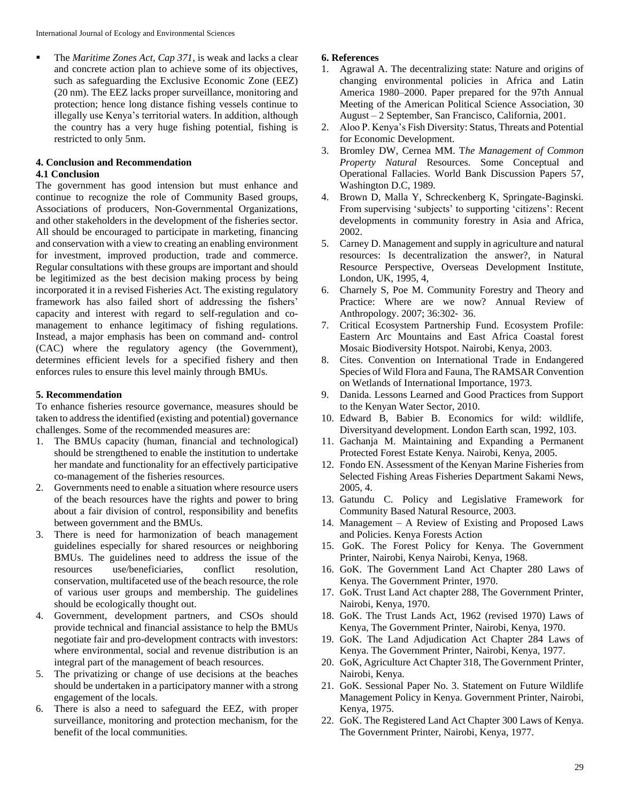The *Maritime Zones Act, Cap 371*, is weak and lacks a clear and concrete action plan to achieve some of its objectives, such as safeguarding the Exclusive Economic Zone (EEZ) (20 nm). The EEZ lacks proper surveillance, monitoring and protection; hence long distance fishing vessels continue to illegally use Kenya's territorial waters. In addition, although the country has a very huge fishing potential, fishing is restricted to only 5nm.

#### **4. Conclusion and Recommendation 4.1 Conclusion**

The government has good intension but must enhance and continue to recognize the role of Community Based groups, Associations of producers, Non-Governmental Organizations, and other stakeholders in the development of the fisheries sector. All should be encouraged to participate in marketing, financing and conservation with a view to creating an enabling environment for investment, improved production, trade and commerce. Regular consultations with these groups are important and should be legitimized as the best decision making process by being incorporated it in a revised Fisheries Act. The existing regulatory framework has also failed short of addressing the fishers' capacity and interest with regard to self-regulation and comanagement to enhance legitimacy of fishing regulations. Instead, a major emphasis has been on command and- control (CAC) where the regulatory agency (the Government), determines efficient levels for a specified fishery and then enforces rules to ensure this level mainly through BMUs.

### **5. Recommendation**

To enhance fisheries resource governance, measures should be taken to address the identified (existing and potential) governance challenges. Some of the recommended measures are:

- 1. The BMUs capacity (human, financial and technological) should be strengthened to enable the institution to undertake her mandate and functionality for an effectively participative co-management of the fisheries resources.
- 2. Governments need to enable a situation where resource users of the beach resources have the rights and power to bring about a fair division of control, responsibility and benefits between government and the BMUs.
- 3. There is need for harmonization of beach management guidelines especially for shared resources or neighboring BMUs. The guidelines need to address the issue of the resources use/beneficiaries, conflict resolution, conservation, multifaceted use of the beach resource, the role of various user groups and membership. The guidelines should be ecologically thought out.
- 4. Government, development partners, and CSOs should provide technical and financial assistance to help the BMUs negotiate fair and pro-development contracts with investors: where environmental, social and revenue distribution is an integral part of the management of beach resources.
- 5. The privatizing or change of use decisions at the beaches should be undertaken in a participatory manner with a strong engagement of the locals.
- 6. There is also a need to safeguard the EEZ, with proper surveillance, monitoring and protection mechanism, for the benefit of the local communities.

# **6. References**

- 1. Agrawal A. The decentralizing state: Nature and origins of changing environmental policies in Africa and Latin America 1980–2000. Paper prepared for the 97th Annual Meeting of the American Political Science Association, 30 August – 2 September, San Francisco, California, 2001.
- 2. Aloo P. Kenya's Fish Diversity: Status, Threats and Potential for Economic Development.
- 3. Bromley DW, Cernea MM. T*he Management of Common Property Natural* Resources. Some Conceptual and Operational Fallacies. World Bank Discussion Papers 57, Washington D.C, 1989.
- 4. Brown D, Malla Y, Schreckenberg K, Springate-Baginski. From supervising 'subjects' to supporting 'citizens': Recent developments in community forestry in Asia and Africa, 2002.
- 5. Carney D. Management and supply in agriculture and natural resources: Is decentralization the answer?, in Natural Resource Perspective, Overseas Development Institute, London, UK, 1995, 4,
- 6. Charnely S, Poe M. Community Forestry and Theory and Practice: Where are we now? Annual Review of Anthropology. 2007; 36:302‐ 36.
- 7. Critical Ecosystem Partnership Fund. Ecosystem Profile: Eastern Arc Mountains and East Africa Coastal forest Mosaic Biodiversity Hotspot. Nairobi, Kenya, 2003.
- 8. Cites. Convention on International Trade in Endangered Species of Wild Flora and Fauna, The RAMSAR Convention on Wetlands of International Importance, 1973.
- 9. Danida. Lessons Learned and Good Practices from Support to the Kenyan Water Sector, 2010.
- 10. Edward B, Babier B. Economics for wild: wildlife, Diversityand development. London Earth scan, 1992, 103.
- 11. Gachanja M. Maintaining and Expanding a Permanent Protected Forest Estate Kenya. Nairobi, Kenya, 2005.
- 12. Fondo EN. Assessment of the Kenyan Marine Fisheries from Selected Fishing Areas Fisheries Department Sakami News, 2005, 4.
- 13. Gatundu C. Policy and Legislative Framework for Community Based Natural Resource, 2003.
- 14. Management A Review of Existing and Proposed Laws and Policies. Kenya Forests Action
- 15. GoK. The Forest Policy for Kenya. The Government Printer, Nairobi, Kenya Nairobi, Kenya, 1968.
- 16. GoK. The Government Land Act Chapter 280 Laws of Kenya. The Government Printer, 1970.
- 17. GoK. Trust Land Act chapter 288, The Government Printer, Nairobi, Kenya, 1970.
- 18. GoK. The Trust Lands Act, 1962 (revised 1970) Laws of Kenya, The Government Printer, Nairobi, Kenya, 1970.
- 19. GoK. The Land Adjudication Act Chapter 284 Laws of Kenya. The Government Printer, Nairobi, Kenya, 1977.
- 20. GoK, Agriculture Act Chapter 318, The Government Printer, Nairobi, Kenya.
- 21. GoK. Sessional Paper No. 3. Statement on Future Wildlife Management Policy in Kenya. Government Printer, Nairobi, Kenya, 1975.
- 22. GoK. The Registered Land Act Chapter 300 Laws of Kenya. The Government Printer, Nairobi, Kenya, 1977.